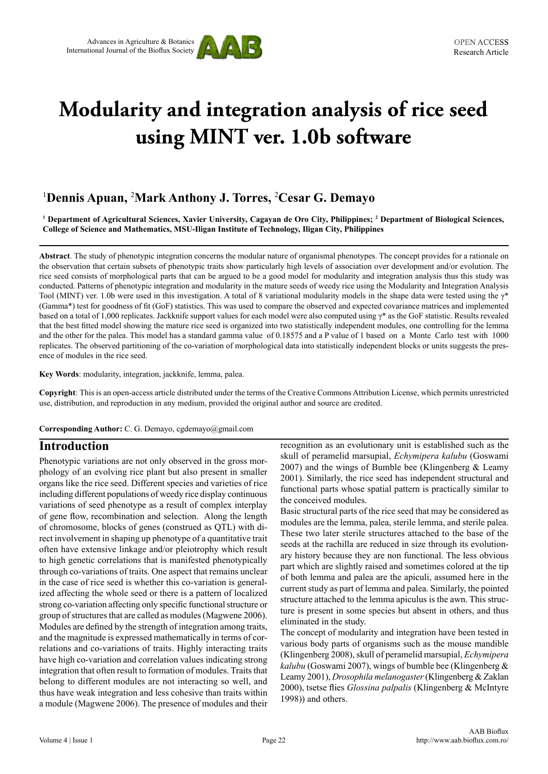

# **Modularity and integration analysis of rice seed using MINT ver. 1.0b software**

## 1 **Dennis Apuan,** <sup>2</sup> **Mark Anthony J. Torres,** <sup>2</sup> **Cesar G. Demayo**

**1 Department of Agricultural Sciences, Xavier University, Cagayan de Oro City, Philippines; 2 Department of Biological Sciences, College of Science and Mathematics, MSU-Iligan Institute of Technology, Iligan City, Philippines**

**Abstract**. The study of phenotypic integration concerns the modular nature of organismal phenotypes. The concept provides for a rationale on the observation that certain subsets of phenotypic traits show particularly high levels of association over development and/or evolution. The rice seed consists of morphological parts that can be argued to be a good model for modularity and integration analysis thus this study was conducted. Patterns of phenotypic integration and modularity in the mature seeds of weedy rice using the Modularity and Integration Analysis Tool (MINT) ver. 1.0b were used in this investigation. A total of 8 variational modularity models in the shape data were tested using the  $\gamma^*$ (Gamma\*) test for goodness of fit (GoF) statistics. This was used to compare the observed and expected covariance matrices and implemented based on a total of 1,000 replicates. Jackknife support values for each model were also computed using γ\* as the GoF statistic. Results revealed that the best fitted model showing the mature rice seed is organized into two statistically independent modules, one controlling for the lemma and the other for the palea. This model has a standard gamma value of 0.18575 and a P value of 1 based on a Monte Carlo test with 1000 replicates. The observed partitioning of the co-variation of morphological data into statistically independent blocks or units suggests the presence of modules in the rice seed.

**Key Words**: modularity, integration, jackknife, lemma, palea.

**Copyright**: This is an open-access article distributed under the terms of the Creative Commons Attribution License, which permits unrestricted use, distribution, and reproduction in any medium, provided the original author and source are credited.

**Corresponding Author:** C. G. Demayo, cgdemayo@gmail.com

#### **Introduction**

Phenotypic variations are not only observed in the gross morphology of an evolving rice plant but also present in smaller organs like the rice seed. Different species and varieties of rice including different populations of weedy rice display continuous variations of seed phenotype as a result of complex interplay of gene flow, recombination and selection. Along the length of chromosome, blocks of genes (construed as QTL) with direct involvement in shaping up phenotype of a quantitative trait often have extensive linkage and/or pleiotrophy which result to high genetic correlations that is manifested phenotypically through co-variations of traits. One aspect that remains unclear in the case of rice seed is whether this co-variation is generalized affecting the whole seed or there is a pattern of localized strong co-variation affecting only specific functional structure or group of structures that are called as modules (Magwene 2006). Modules are defined by the strength of integration among traits, and the magnitude is expressed mathematically in terms of correlations and co-variations of traits. Highly interacting traits have high co-variation and correlation values indicating strong integration that often result to formation of modules. Traits that belong to different modules are not interacting so well, and thus have weak integration and less cohesive than traits within a module (Magwene 2006). The presence of modules and their recognition as an evolutionary unit is established such as the skull of peramelid marsupial, *Echymipera kalubu* (Goswami 2007) and the wings of Bumble bee (Klingenberg & Leamy 2001). Similarly, the rice seed has independent structural and functional parts whose spatial pattern is practically similar to the conceived modules.

Basic structural parts of the rice seed that may be considered as modules are the lemma, palea, sterile lemma, and sterile palea. These two later sterile structures attached to the base of the seeds at the rachilla are reduced in size through its evolutionary history because they are non functional. The less obvious part which are slightly raised and sometimes colored at the tip of both lemma and palea are the apiculi, assumed here in the current study as part of lemma and palea. Similarly, the pointed structure attached to the lemma apiculus is the awn. This structure is present in some species but absent in others, and thus eliminated in the study.

The concept of modularity and integration have been tested in various body parts of organisms such as the mouse mandible (Klingenberg 2008), skull of peramelid marsupial, *Echymipera kalubu* (Goswami 2007), wings of bumble bee (Klingenberg & Leamy 2001), *Drosophila melanogaster* (Klingenberg & Zaklan 2000), tsetse flies *Glossina palpalis* (Klingenberg & McIntyre 1998)) and others.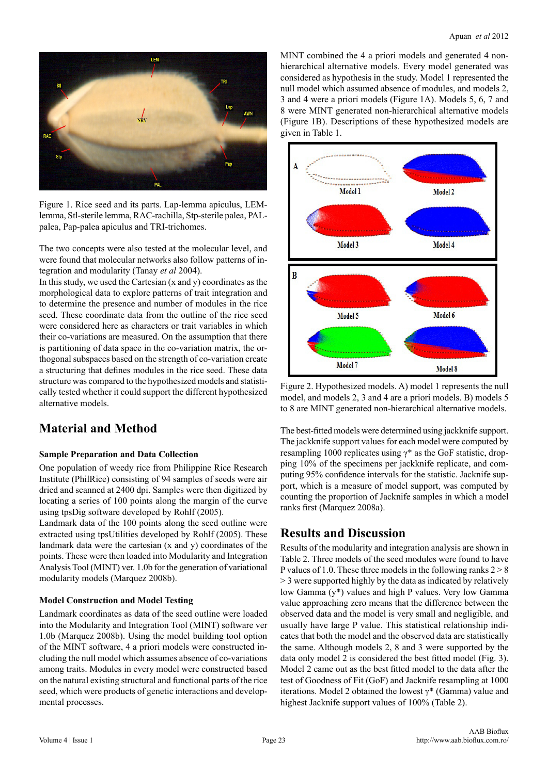

Figure 1. Rice seed and its parts. Lap-lemma apiculus, LEMlemma, Stl-sterile lemma, RAC-rachilla, Stp-sterile palea, PALpalea, Pap-palea apiculus and TRI-trichomes.

The two concepts were also tested at the molecular level, and were found that molecular networks also follow patterns of integration and modularity (Tanay *et al* 2004).

In this study, we used the Cartesian (x and y) coordinates as the morphological data to explore patterns of trait integration and to determine the presence and number of modules in the rice seed. These coordinate data from the outline of the rice seed were considered here as characters or trait variables in which their co-variations are measured. On the assumption that there is partitioning of data space in the co-variation matrix, the orthogonal subspaces based on the strength of co-variation create a structuring that defines modules in the rice seed. These data structure was compared to the hypothesized models and statistically tested whether it could support the different hypothesized alternative models.

# **Material and Method**

#### **Sample Preparation and Data Collection**

One population of weedy rice from Philippine Rice Research Institute (PhilRice) consisting of 94 samples of seeds were air dried and scanned at 2400 dpi. Samples were then digitized by locating a series of 100 points along the margin of the curve using tpsDig software developed by Rohlf (2005).

Landmark data of the 100 points along the seed outline were extracted using tpsUtilities developed by Rohlf (2005). These landmark data were the cartesian (x and y) coordinates of the points. These were then loaded into Modularity and Integration Analysis Tool (MINT) ver. 1.0b for the generation of variational modularity models (Marquez 2008b).

#### **Model Construction and Model Testing**

Landmark coordinates as data of the seed outline were loaded into the Modularity and Integration Tool (MINT) software ver 1.0b (Marquez 2008b). Using the model building tool option of the MINT software, 4 a priori models were constructed including the null model which assumes absence of co-variations among traits. Modules in every model were constructed based on the natural existing structural and functional parts of the rice seed, which were products of genetic interactions and developmental processes.

MINT combined the 4 a priori models and generated 4 nonhierarchical alternative models. Every model generated was considered as hypothesis in the study. Model 1 represented the null model which assumed absence of modules, and models 2, 3 and 4 were a priori models (Figure 1A). Models 5, 6, 7 and 8 were MINT generated non-hierarchical alternative models (Figure 1B). Descriptions of these hypothesized models are given in Table 1.



Figure 2. Hypothesized models. A) model 1 represents the null model, and models 2, 3 and 4 are a priori models. B) models 5 to 8 are MINT generated non-hierarchical alternative models.

The best-fitted models were determined using jackknife support. The jackknife support values for each model were computed by resampling 1000 replicates using  $\gamma^*$  as the GoF statistic, dropping 10% of the specimens per jackknife replicate, and computing 95% confidence intervals for the statistic. Jacknife support, which is a measure of model support, was computed by counting the proportion of Jacknife samples in which a model ranks first (Marquez 2008a).

# **Results and Discussion**

Results of the modularity and integration analysis are shown in Table 2. Three models of the seed modules were found to have P values of 1.0. These three models in the following ranks  $2 > 8$ > 3 were supported highly by the data as indicated by relatively low Gamma (y\*) values and high P values. Very low Gamma value approaching zero means that the difference between the observed data and the model is very small and negligible, and usually have large P value. This statistical relationship indicates that both the model and the observed data are statistically the same. Although models 2, 8 and 3 were supported by the data only model 2 is considered the best fitted model (Fig. 3). Model 2 came out as the best fitted model to the data after the test of Goodness of Fit (GoF) and Jacknife resampling at 1000 iterations. Model 2 obtained the lowest γ\* (Gamma) value and highest Jacknife support values of 100% (Table 2).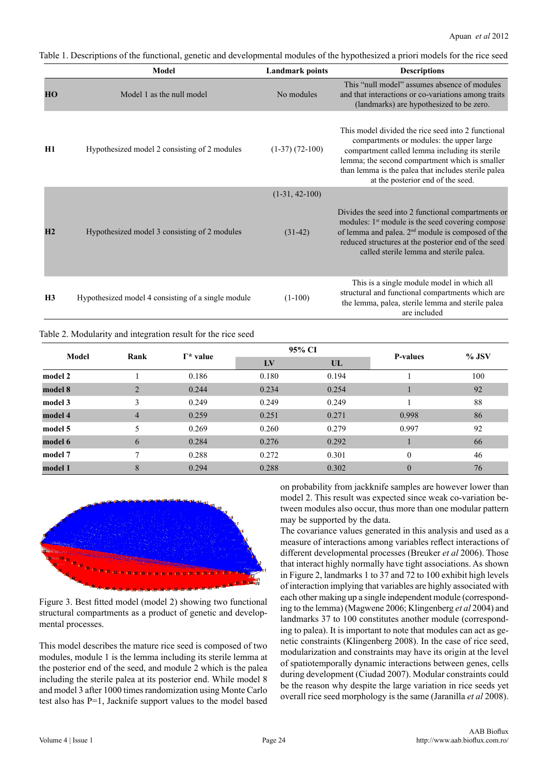Table 1. Descriptions of the functional, genetic and developmental modules of the hypothesized a priori models for the rice seed

|                                                              |                                              | Model                                              | <b>Landmark points</b>  |                                                                                                                                                                                                                                                                                       | <b>Descriptions</b>                                                                                                                                                                                                                                                                            |         |  |  |  |
|--------------------------------------------------------------|----------------------------------------------|----------------------------------------------------|-------------------------|---------------------------------------------------------------------------------------------------------------------------------------------------------------------------------------------------------------------------------------------------------------------------------------|------------------------------------------------------------------------------------------------------------------------------------------------------------------------------------------------------------------------------------------------------------------------------------------------|---------|--|--|--|
| HO                                                           |                                              | Model 1 as the null model                          | No modules              |                                                                                                                                                                                                                                                                                       | This "null model" assumes absence of modules<br>and that interactions or co-variations among traits<br>(landmarks) are hypothesized to be zero.                                                                                                                                                |         |  |  |  |
| H1                                                           |                                              | Hypothesized model 2 consisting of 2 modules       | $(1-37)$ $(72-100)$     |                                                                                                                                                                                                                                                                                       | This model divided the rice seed into 2 functional<br>compartments or modules: the upper large<br>compartment called lemma including its sterile<br>lemma; the second compartment which is smaller<br>than lemma is the palea that includes sterile palea<br>at the posterior end of the seed. |         |  |  |  |
|                                                              |                                              |                                                    | $(1-31, 42-100)$        |                                                                                                                                                                                                                                                                                       |                                                                                                                                                                                                                                                                                                |         |  |  |  |
| H2                                                           | Hypothesized model 3 consisting of 2 modules | $(31-42)$                                          |                         | Divides the seed into 2 functional compartments or<br>modules: 1 <sup>st</sup> module is the seed covering compose<br>of lemma and palea. 2 <sup>nd</sup> module is composed of the<br>reduced structures at the posterior end of the seed<br>called sterile lemma and sterile palea. |                                                                                                                                                                                                                                                                                                |         |  |  |  |
| H <sub>3</sub>                                               |                                              | Hypothesized model 4 consisting of a single module | $(1-100)$               | This is a single module model in which all<br>structural and functional compartments which are<br>the lemma, palea, sterile lemma and sterile palea<br>are included                                                                                                                   |                                                                                                                                                                                                                                                                                                |         |  |  |  |
| Table 2. Modularity and integration result for the rice seed |                                              |                                                    |                         |                                                                                                                                                                                                                                                                                       |                                                                                                                                                                                                                                                                                                |         |  |  |  |
|                                                              | Model<br>Rank                                | $\Gamma^*$ value                                   | 95% CI                  |                                                                                                                                                                                                                                                                                       | <b>P-values</b>                                                                                                                                                                                                                                                                                | $%$ JSV |  |  |  |
|                                                              |                                              |                                                    | $\mathbf{I} \mathbf{V}$ | $\mathbf{U}$                                                                                                                                                                                                                                                                          |                                                                                                                                                                                                                                                                                                |         |  |  |  |
| model 2                                                      | 1                                            | 0.186                                              | 0.180                   | 0.194                                                                                                                                                                                                                                                                                 |                                                                                                                                                                                                                                                                                                | 100     |  |  |  |
| model 8                                                      | $\overline{2}$                               | 0.244                                              | 0.234                   | 0.254                                                                                                                                                                                                                                                                                 |                                                                                                                                                                                                                                                                                                | 92      |  |  |  |

| model 8 |                | 0.244 | 0.234 | 0.254 |       | 92 |
|---------|----------------|-------|-------|-------|-------|----|
| model 3 |                | 0.249 | 0.249 | 0.249 |       | 88 |
| model 4 | $\overline{4}$ | 0.259 | 0.251 | 0.271 | 0.998 | 86 |
| model 5 |                | 0.269 | 0.260 | 0.279 | 0.997 | 92 |
| model 6 | 6              | 0.284 | 0.276 | 0.292 |       | 66 |
| model 7 |                | 0.288 | 0.272 | 0.301 |       | 46 |
| model 1 | 8              | 0.294 | 0.288 | 0.302 |       | 76 |
|         |                |       |       |       |       |    |



Figure 3. Best fitted model (model 2) showing two functional structural compartments as a product of genetic and developmental processes.

This model describes the mature rice seed is composed of two modules, module 1 is the lemma including its sterile lemma at the posterior end of the seed, and module 2 which is the palea including the sterile palea at its posterior end. While model 8 and model 3 after 1000 times randomization using Monte Carlo test also has P=1, Jacknife support values to the model based on probability from jackknife samples are however lower than model 2. This result was expected since weak co-variation between modules also occur, thus more than one modular pattern may be supported by the data.

The covariance values generated in this analysis and used as a measure of interactions among variables reflect interactions of different developmental processes (Breuker *et al* 2006). Those that interact highly normally have tight associations. As shown in Figure 2, landmarks 1 to 37 and 72 to 100 exhibit high levels of interaction implying that variables are highly associated with each other making up a single independent module (corresponding to the lemma) (Magwene 2006; Klingenberg *et al* 2004) and landmarks 37 to 100 constitutes another module (corresponding to palea). It is important to note that modules can act as genetic constraints (Klingenberg 2008). In the case of rice seed, modularization and constraints may have its origin at the level of spatiotemporally dynamic interactions between genes, cells during development (Ciudad 2007). Modular constraints could be the reason why despite the large variation in rice seeds yet overall rice seed morphology is the same (Jaranilla *et al* 2008).